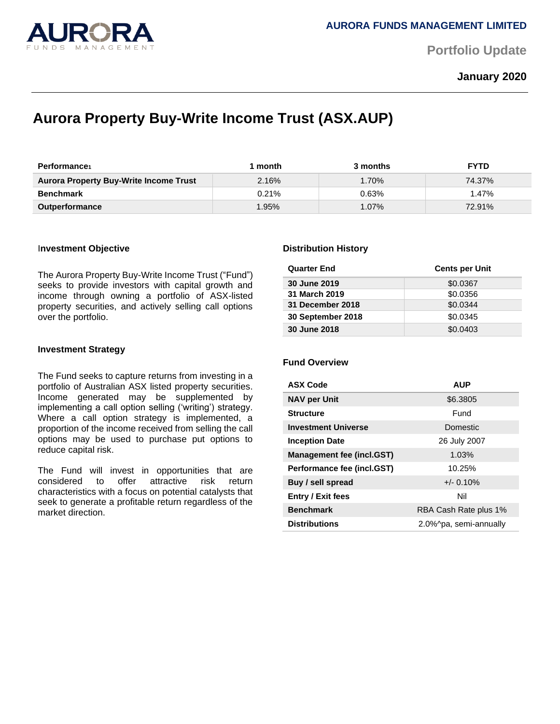

**Portfolio Update** 

## **January 2020**

# **Aurora Property Buy-Write Income Trust (ASX.AUP)**

| <b>Performance</b>                            | month | 3 months | <b>FYTD</b> |
|-----------------------------------------------|-------|----------|-------------|
| <b>Aurora Property Buy-Write Income Trust</b> | 2.16% | 1.70%    | 74.37%      |
| <b>Benchmark</b>                              | 0.21% | 0.63%    | 1.47%       |
| <b>Outperformance</b>                         | .95%  | $1.07\%$ | 72.91%      |

#### I**nvestment Objective**

The Aurora Property Buy-Write Income Trust ("Fund") seeks to provide investors with capital growth and income through owning a portfolio of ASX-listed property securities, and actively selling call options over the portfolio.

#### **Investment Strategy**

The Fund seeks to capture returns from investing in a portfolio of Australian ASX listed property securities. Income generated may be supplemented by implementing a call option selling ('writing') strategy. Where a call option strategy is implemented, a proportion of the income received from selling the call options may be used to purchase put options to reduce capital risk.

The Fund will invest in opportunities that are considered to offer attractive risk return characteristics with a focus on potential catalysts that seek to generate a profitable return regardless of the market direction.

#### **Distribution History**

| <b>Quarter End</b> | <b>Cents per Unit</b> |
|--------------------|-----------------------|
| 30 June 2019       | \$0.0367              |
| 31 March 2019      | \$0.0356              |
| 31 December 2018   | \$0.0344              |
| 30 September 2018  | \$0.0345              |
| 30 June 2018       | \$0.0403              |

### **Fund Overview**

| <b>ASX Code</b>                  | <b>AUP</b>             |  |
|----------------------------------|------------------------|--|
| <b>NAV per Unit</b>              | \$6.3805               |  |
| <b>Structure</b>                 | Fund                   |  |
| <b>Investment Universe</b>       | Domestic               |  |
| <b>Inception Date</b>            | 26 July 2007           |  |
| <b>Management fee (incl.GST)</b> | 1.03%                  |  |
| Performance fee (incl.GST)       | 10.25%                 |  |
| Buy / sell spread                | $+/- 0.10\%$           |  |
| <b>Entry / Exit fees</b>         | Nil                    |  |
| <b>Benchmark</b>                 | RBA Cash Rate plus 1%  |  |
| <b>Distributions</b>             | 2.0%^pa, semi-annually |  |